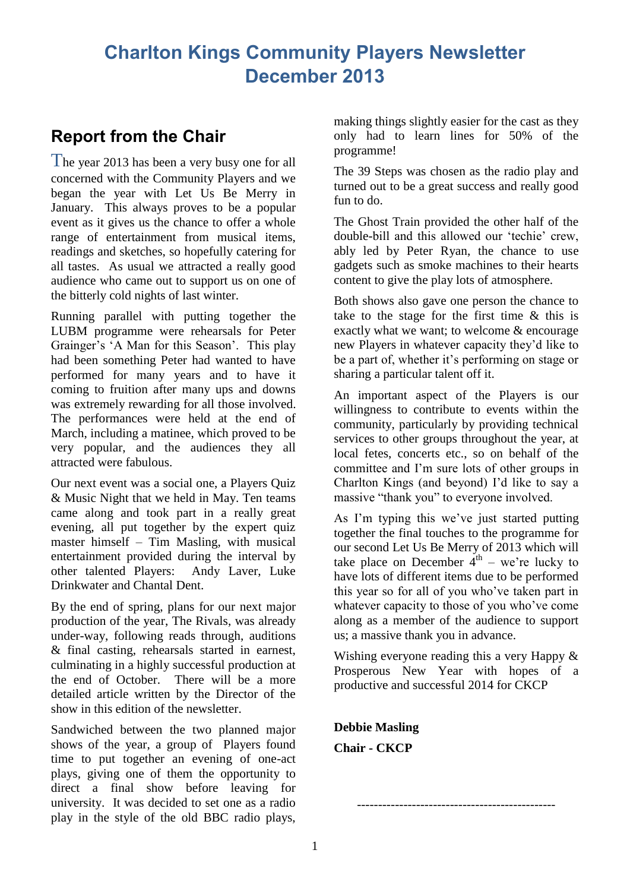# **Charlton Kings Community Players Newsletter December 2013**

## **Report from the Chair**

The year 2013 has been a very busy one for all concerned with the Community Players and we began the year with Let Us Be Merry in January. This always proves to be a popular event as it gives us the chance to offer a whole range of entertainment from musical items, readings and sketches, so hopefully catering for all tastes. As usual we attracted a really good audience who came out to support us on one of the bitterly cold nights of last winter.

Running parallel with putting together the LUBM programme were rehearsals for Peter Grainger's 'A Man for this Season'. This play had been something Peter had wanted to have performed for many years and to have it coming to fruition after many ups and downs was extremely rewarding for all those involved. The performances were held at the end of March, including a matinee, which proved to be very popular, and the audiences they all attracted were fabulous.

Our next event was a social one, a Players Quiz & Music Night that we held in May. Ten teams came along and took part in a really great evening, all put together by the expert quiz master himself – Tim Masling, with musical entertainment provided during the interval by other talented Players: Andy Laver, Luke Drinkwater and Chantal Dent.

By the end of spring, plans for our next major production of the year, The Rivals, was already under-way, following reads through, auditions & final casting, rehearsals started in earnest, culminating in a highly successful production at the end of October. There will be a more detailed article written by the Director of the show in this edition of the newsletter.

Sandwiched between the two planned major shows of the year, a group of Players found time to put together an evening of one-act plays, giving one of them the opportunity to direct a final show before leaving for university. It was decided to set one as a radio play in the style of the old BBC radio plays,

making things slightly easier for the cast as they only had to learn lines for 50% of the programme!

The 39 Steps was chosen as the radio play and turned out to be a great success and really good fun to do.

The Ghost Train provided the other half of the double-bill and this allowed our 'techie' crew, ably led by Peter Ryan, the chance to use gadgets such as smoke machines to their hearts content to give the play lots of atmosphere.

Both shows also gave one person the chance to take to the stage for the first time & this is exactly what we want; to welcome & encourage new Players in whatever capacity they'd like to be a part of, whether it's performing on stage or sharing a particular talent off it.

An important aspect of the Players is our willingness to contribute to events within the community, particularly by providing technical services to other groups throughout the year, at local fetes, concerts etc., so on behalf of the committee and I'm sure lots of other groups in Charlton Kings (and beyond) I'd like to say a massive "thank you" to everyone involved.

As I'm typing this we've just started putting together the final touches to the programme for our second Let Us Be Merry of 2013 which will take place on December  $4<sup>th</sup>$  – we're lucky to have lots of different items due to be performed this year so for all of you who've taken part in whatever capacity to those of you who've come along as a member of the audience to support us; a massive thank you in advance.

Wishing everyone reading this a very Happy  $\&$ Prosperous New Year with hopes of a productive and successful 2014 for CKCP

-----------------------------------------------

**Debbie Masling Chair - CKCP**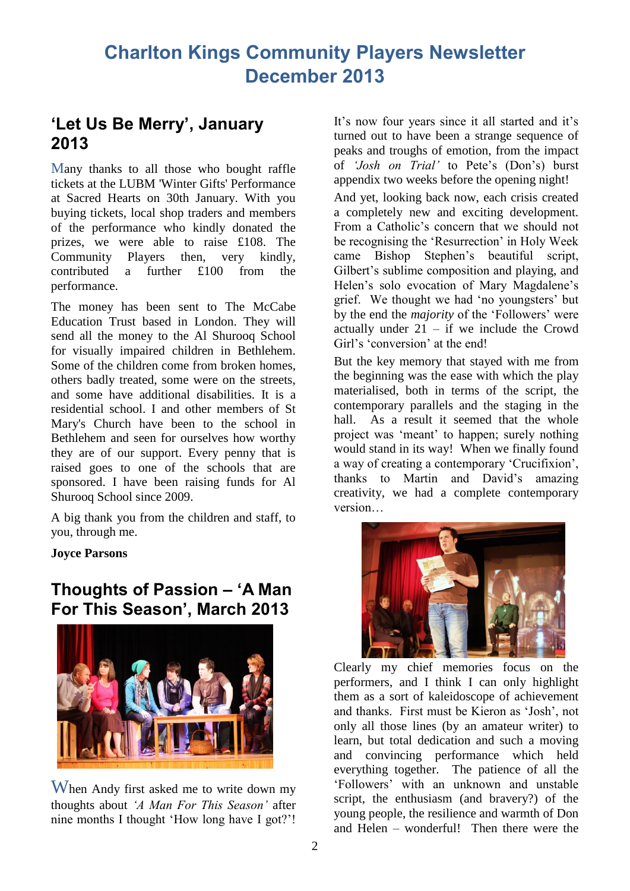## **'Let Us Be Merry', January 2013**

Many thanks to all those who bought raffle tickets at the LUBM 'Winter Gifts' Performance at Sacred Hearts on 30th January. With you buying tickets, local shop traders and members of the performance who kindly donated the prizes, we were able to raise £108. The Community Players then, very kindly, contributed a further £100 from the performance.

The money has been sent to The McCabe Education Trust based in London. They will send all the money to the Al Shurooq School for visually impaired children in Bethlehem. Some of the children come from broken homes, others badly treated, some were on the streets, and some have additional disabilities. It is a residential school. I and other members of St Mary's Church have been to the school in Bethlehem and seen for ourselves how worthy they are of our support. Every penny that is raised goes to one of the schools that are sponsored. I have been raising funds for Al Shurooq School since 2009.

A big thank you from the children and staff, to you, through me.

### **Joyce Parsons**

### **Thoughts of Passion – 'A Man For This Season', March 2013**



When Andy first asked me to write down my thoughts about *'A Man For This Season'* after nine months I thought 'How long have I got?'!

It's now four years since it all started and it's turned out to have been a strange sequence of peaks and troughs of emotion, from the impact of *'Josh on Trial'* to Pete's (Don's) burst appendix two weeks before the opening night!

And yet, looking back now, each crisis created a completely new and exciting development. From a Catholic's concern that we should not be recognising the 'Resurrection' in Holy Week came Bishop Stephen's beautiful script, Gilbert's sublime composition and playing, and Helen's solo evocation of Mary Magdalene's grief. We thought we had 'no youngsters' but by the end the *majority* of the 'Followers' were actually under  $21 - if$  we include the Crowd Girl's 'conversion' at the end!

But the key memory that stayed with me from the beginning was the ease with which the play materialised, both in terms of the script, the contemporary parallels and the staging in the hall. As a result it seemed that the whole project was 'meant' to happen; surely nothing would stand in its way! When we finally found a way of creating a contemporary 'Crucifixion', thanks to Martin and David's amazing creativity, we had a complete contemporary version…



Clearly my chief memories focus on the performers, and I think I can only highlight them as a sort of kaleidoscope of achievement and thanks. First must be Kieron as 'Josh', not only all those lines (by an amateur writer) to learn, but total dedication and such a moving and convincing performance which held everything together. The patience of all the 'Followers' with an unknown and unstable script, the enthusiasm (and bravery?) of the young people, the resilience and warmth of Don and Helen – wonderful! Then there were the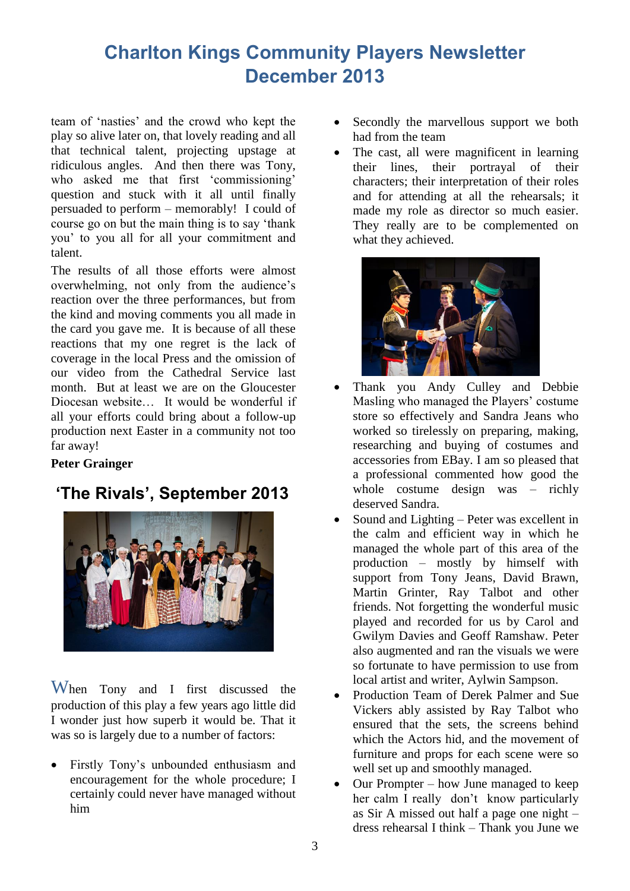# **Charlton Kings Community Players Newsletter December 2013**

team of 'nasties' and the crowd who kept the play so alive later on, that lovely reading and all that technical talent, projecting upstage at ridiculous angles. And then there was Tony, who asked me that first 'commissioning' question and stuck with it all until finally persuaded to perform – memorably! I could of course go on but the main thing is to say 'thank you' to you all for all your commitment and talent.

The results of all those efforts were almost overwhelming, not only from the audience's reaction over the three performances, but from the kind and moving comments you all made in the card you gave me. It is because of all these reactions that my one regret is the lack of coverage in the local Press and the omission of our video from the Cathedral Service last month. But at least we are on the Gloucester Diocesan website… It would be wonderful if all your efforts could bring about a follow-up production next Easter in a community not too far away!

### **Peter Grainger**

# **'The Rivals', September 2013**



When Tony and I first discussed the production of this play a few years ago little did I wonder just how superb it would be. That it was so is largely due to a number of factors:

 Firstly Tony's unbounded enthusiasm and encouragement for the whole procedure; I certainly could never have managed without him

- Secondly the marvellous support we both had from the team
- The cast, all were magnificent in learning their lines, their portrayal of their characters; their interpretation of their roles and for attending at all the rehearsals; it made my role as director so much easier. They really are to be complemented on what they achieved.



- Thank you Andy Culley and Debbie Masling who managed the Players' costume store so effectively and Sandra Jeans who worked so tirelessly on preparing, making, researching and buying of costumes and accessories from EBay. I am so pleased that a professional commented how good the whole costume design was – richly deserved Sandra.
- Sound and Lighting Peter was excellent in the calm and efficient way in which he managed the whole part of this area of the production – mostly by himself with support from Tony Jeans, David Brawn, Martin Grinter, Ray Talbot and other friends. Not forgetting the wonderful music played and recorded for us by Carol and Gwilym Davies and Geoff Ramshaw. Peter also augmented and ran the visuals we were so fortunate to have permission to use from local artist and writer, Aylwin Sampson.
- Production Team of Derek Palmer and Sue Vickers ably assisted by Ray Talbot who ensured that the sets, the screens behind which the Actors hid, and the movement of furniture and props for each scene were so well set up and smoothly managed.
- Our Prompter how June managed to keep her calm I really don't know particularly as Sir A missed out half a page one night – dress rehearsal I think – Thank you June we